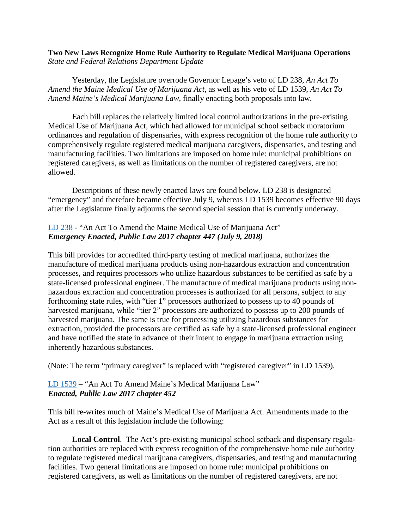## **Two New Laws Recognize Home Rule Authority to Regulate Medical Marijuana Operations** *State and Federal Relations Department Update*

Yesterday, the Legislature overrode Governor Lepage's veto of LD 238, *An Act To Amend the Maine Medical Use of Marijuana Act*, as well as his veto of LD 1539, *An Act To Amend Maine's Medical Marijuana Law*, finally enacting both proposals into law*.* 

Each bill replaces the relatively limited local control authorizations in the pre-existing Medical Use of Marijuana Act, which had allowed for municipal school setback moratorium ordinances and regulation of dispensaries, with express recognition of the home rule authority to comprehensively regulate registered medical marijuana caregivers, dispensaries, and testing and manufacturing facilities. Two limitations are imposed on home rule: municipal prohibitions on registered caregivers, as well as limitations on the number of registered caregivers, are not allowed.

Descriptions of these newly enacted laws are found below. LD 238 is designated "emergency" and therefore became effective July 9, whereas LD 1539 becomes effective 90 days after the Legislature finally adjourns the second special session that is currently underway.

## [LD 238](https://www.mainelegislature.org/legis/bills/getPDF.asp?paper=SP0084&item=3&snum=128) - "An Act To Amend the Maine Medical Use of Marijuana Act" *Emergency Enacted, Public Law 2017 chapter 447 (July 9, 2018)*

This bill provides for accredited third-party testing of medical marijuana, authorizes the manufacture of medical marijuana products using non-hazardous extraction and concentration processes, and requires processors who utilize hazardous substances to be certified as safe by a state-licensed professional engineer. The manufacture of medical marijuana products using nonhazardous extraction and concentration processes is authorized for all persons, subject to any forthcoming state rules, with "tier 1" processors authorized to possess up to 40 pounds of harvested marijuana, while "tier 2" processors are authorized to possess up to 200 pounds of harvested marijuana. The same is true for processing utilizing hazardous substances for extraction, provided the processors are certified as safe by a state-licensed professional engineer and have notified the state in advance of their intent to engage in marijuana extraction using inherently hazardous substances.

(Note: The term "primary caregiver" is replaced with "registered caregiver" in LD 1539).

## [LD 1539](https://www.mainelegislature.org/legis/bills/getPDF.asp?paper=HP1060&item=21&snum=128) – "An Act To Amend Maine's Medical Marijuana Law" *Enacted, Public Law 2017 chapter 452*

This bill re-writes much of Maine's Medical Use of Marijuana Act. Amendments made to the Act as a result of this legislation include the following:

**Local Control**. The Act's pre-existing municipal school setback and dispensary regulation authorities are replaced with express recognition of the comprehensive home rule authority to regulate registered medical marijuana caregivers, dispensaries, and testing and manufacturing facilities. Two general limitations are imposed on home rule: municipal prohibitions on registered caregivers, as well as limitations on the number of registered caregivers, are not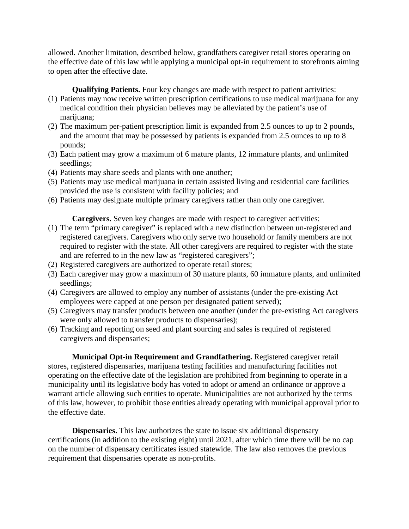allowed. Another limitation, described below, grandfathers caregiver retail stores operating on the effective date of this law while applying a municipal opt-in requirement to storefronts aiming to open after the effective date.

**Qualifying Patients.** Four key changes are made with respect to patient activities:

- (1) Patients may now receive written prescription certifications to use medical marijuana for any medical condition their physician believes may be alleviated by the patient's use of marijuana;
- (2) The maximum per-patient prescription limit is expanded from 2.5 ounces to up to 2 pounds, and the amount that may be possessed by patients is expanded from 2.5 ounces to up to 8 pounds;
- (3) Each patient may grow a maximum of 6 mature plants, 12 immature plants, and unlimited seedlings;
- (4) Patients may share seeds and plants with one another;
- (5) Patients may use medical marijuana in certain assisted living and residential care facilities provided the use is consistent with facility policies; and
- (6) Patients may designate multiple primary caregivers rather than only one caregiver.

**Caregivers.** Seven key changes are made with respect to caregiver activities:

- (1) The term "primary caregiver" is replaced with a new distinction between un-registered and registered caregivers. Caregivers who only serve two household or family members are not required to register with the state. All other caregivers are required to register with the state and are referred to in the new law as "registered caregivers";
- (2) Registered caregivers are authorized to operate retail stores;
- (3) Each caregiver may grow a maximum of 30 mature plants, 60 immature plants, and unlimited seedlings;
- (4) Caregivers are allowed to employ any number of assistants (under the pre-existing Act employees were capped at one person per designated patient served);
- (5) Caregivers may transfer products between one another (under the pre-existing Act caregivers were only allowed to transfer products to dispensaries);
- (6) Tracking and reporting on seed and plant sourcing and sales is required of registered caregivers and dispensaries;

**Municipal Opt-in Requirement and Grandfathering.** Registered caregiver retail stores, registered dispensaries, marijuana testing facilities and manufacturing facilities not operating on the effective date of the legislation are prohibited from beginning to operate in a municipality until its legislative body has voted to adopt or amend an ordinance or approve a warrant article allowing such entities to operate. Municipalities are not authorized by the terms of this law, however, to prohibit those entities already operating with municipal approval prior to the effective date.

**Dispensaries.** This law authorizes the state to issue six additional dispensary certifications (in addition to the existing eight) until 2021, after which time there will be no cap on the number of dispensary certificates issued statewide. The law also removes the previous requirement that dispensaries operate as non-profits.